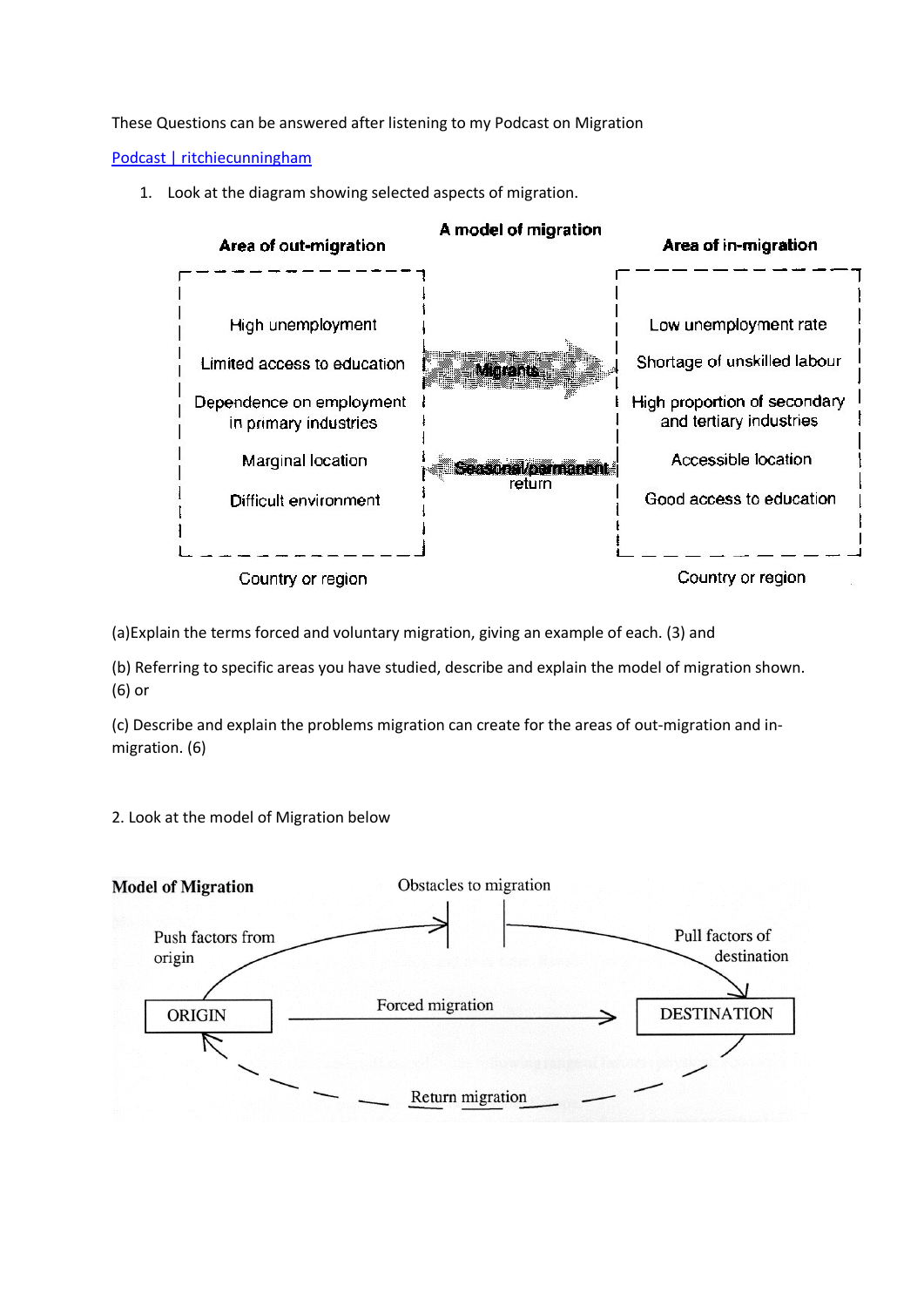These Questions can be answered after listening to my Podcast on Migration

[Podcast | ritchiecunningham](https://www.ritchiecunningham.com/podcast/episode/779f8f77/migration)

1. Look at the diagram showing selected aspects of migration.



(a)Explain the terms forced and voluntary migration, giving an example of each. (3) and

(b) Referring to specific areas you have studied, describe and explain the model of migration shown. (6) or

(c) Describe and explain the problems migration can create for the areas of out-migration and inmigration. (6)

2. Look at the model of Migration below

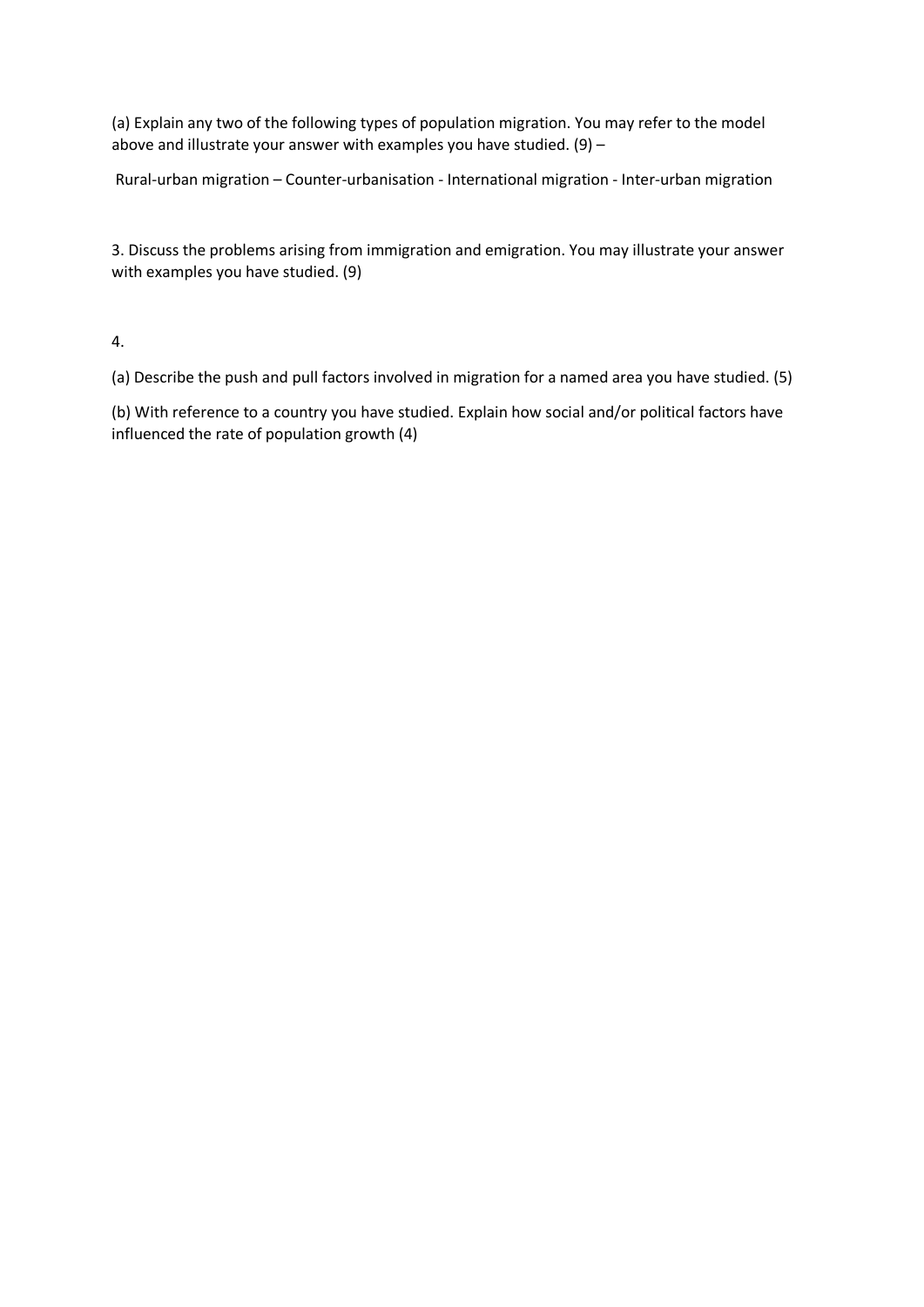(a) Explain any two of the following types of population migration. You may refer to the model above and illustrate your answer with examples you have studied.  $(9)$  -

Rural-urban migration – Counter-urbanisation - International migration - Inter-urban migration

3. Discuss the problems arising from immigration and emigration. You may illustrate your answer with examples you have studied. (9)

4.

(a) Describe the push and pull factors involved in migration for a named area you have studied. (5)

(b) With reference to a country you have studied. Explain how social and/or political factors have influenced the rate of population growth (4)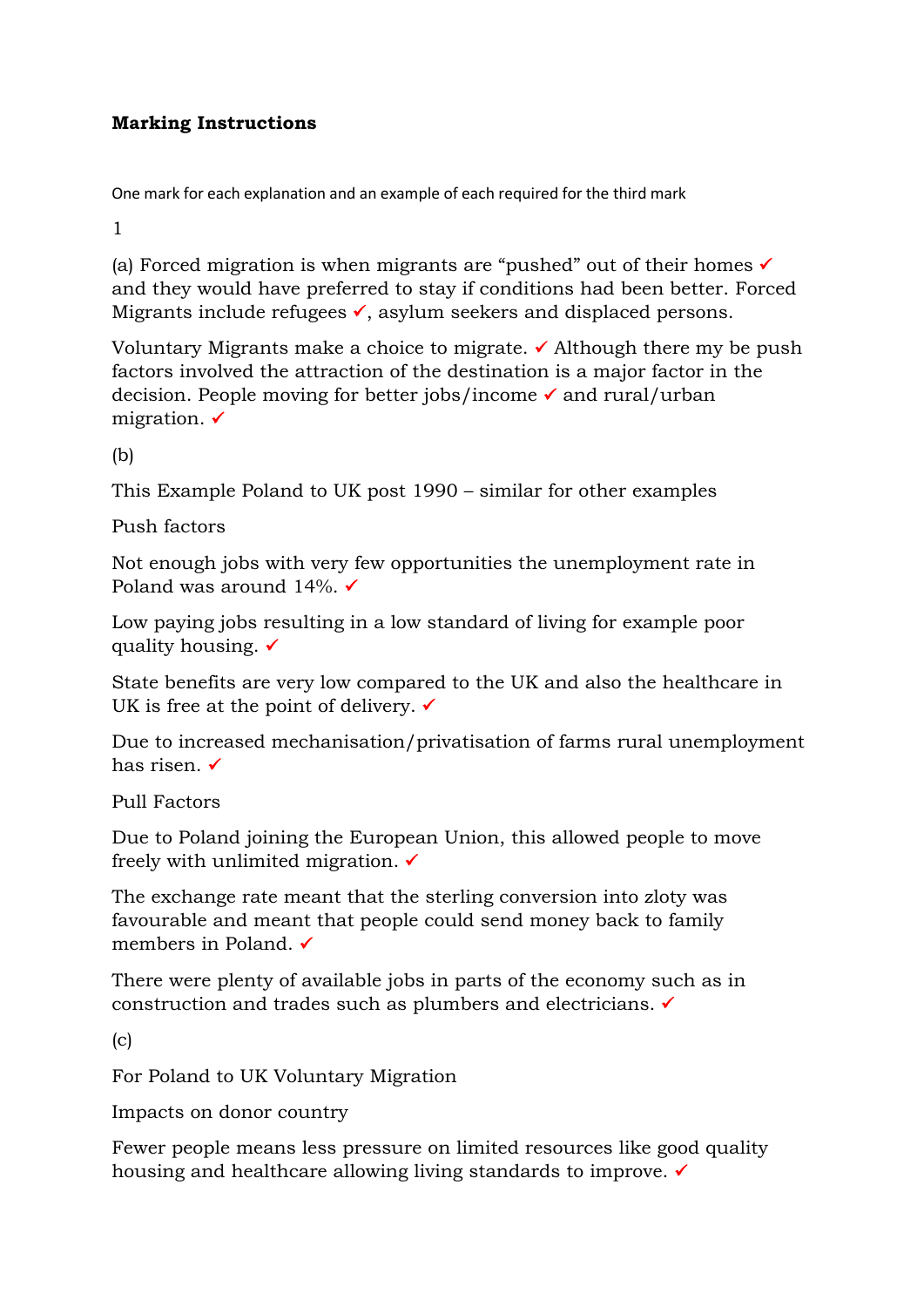## **Marking Instructions**

One mark for each explanation and an example of each required for the third mark

1

(a) Forced migration is when migrants are "pushed" out of their homes  $\checkmark$ and they would have preferred to stay if conditions had been better. Forced Migrants include refugees  $\checkmark$ , asylum seekers and displaced persons.

Voluntary Migrants make a choice to migrate.  $\checkmark$  Although there my be push factors involved the attraction of the destination is a major factor in the decision. People moving for better jobs/income  $\checkmark$  and rural/urban migration.  $\checkmark$ 

(b)

This Example Poland to UK post 1990 – similar for other examples

Push factors

Not enough jobs with very few opportunities the unemployment rate in Poland was around 14%.  $\checkmark$ 

Low paying jobs resulting in a low standard of living for example poor quality housing.  $\checkmark$ 

State benefits are very low compared to the UK and also the healthcare in UK is free at the point of delivery.  $\checkmark$ 

Due to increased mechanisation/privatisation of farms rural unemployment has risen.

Pull Factors

Due to Poland joining the European Union, this allowed people to move freely with unlimited migration.  $\checkmark$ 

The exchange rate meant that the sterling conversion into zloty was favourable and meant that people could send money back to family members in Poland.

There were plenty of available jobs in parts of the economy such as in construction and trades such as plumbers and electricians.

(c)

For Poland to UK Voluntary Migration

Impacts on donor country

Fewer people means less pressure on limited resources like good quality housing and healthcare allowing living standards to improve.  $\checkmark$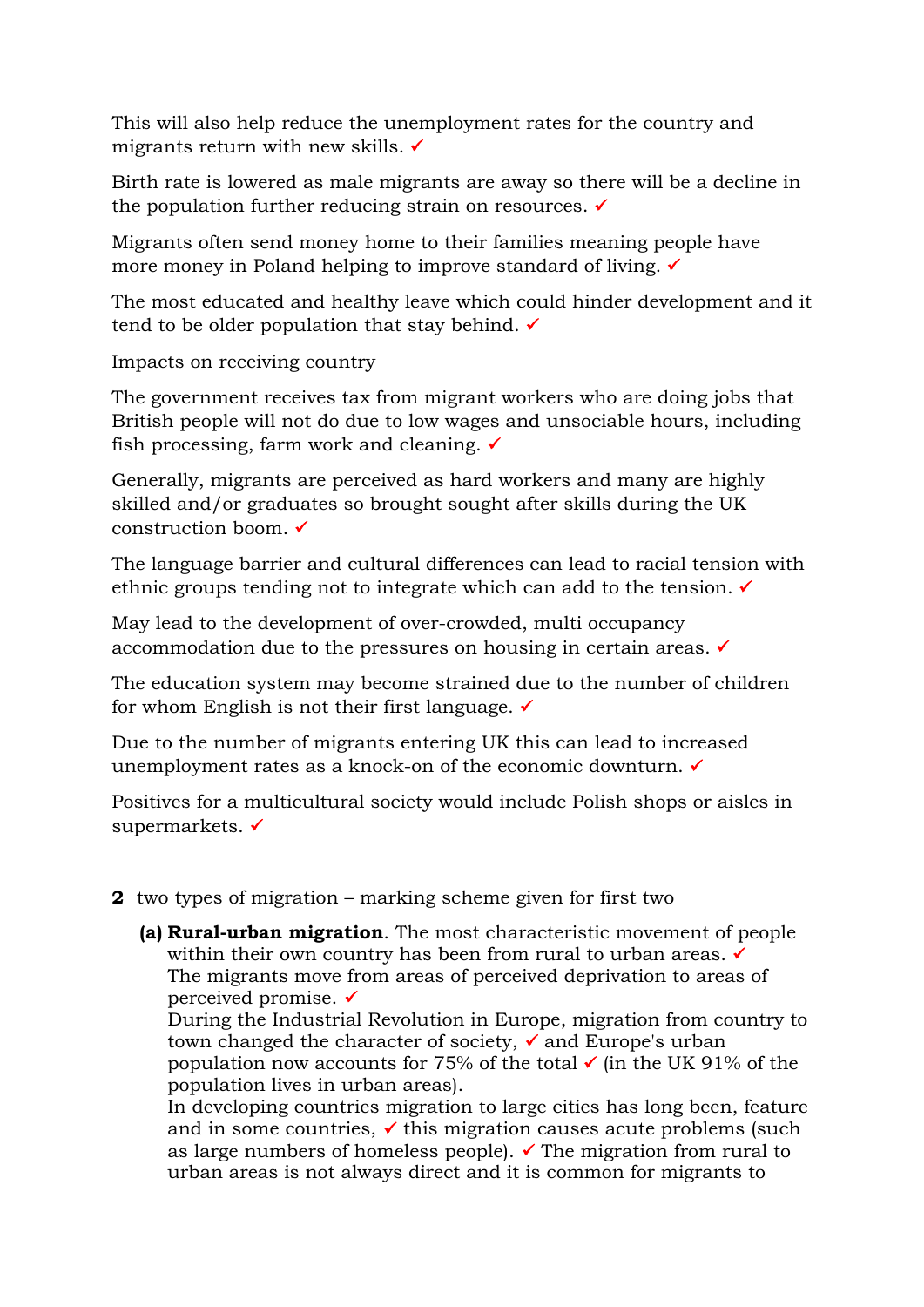This will also help reduce the unemployment rates for the country and migrants return with new skills.  $\checkmark$ 

Birth rate is lowered as male migrants are away so there will be a decline in the population further reducing strain on resources.  $\checkmark$ 

Migrants often send money home to their families meaning people have more money in Poland helping to improve standard of living. <del>✓</del>

The most educated and healthy leave which could hinder development and it tend to be older population that stay behind.  $\checkmark$ 

Impacts on receiving country

The government receives tax from migrant workers who are doing jobs that British people will not do due to low wages and unsociable hours, including fish processing, farm work and cleaning.  $\checkmark$ 

Generally, migrants are perceived as hard workers and many are highly skilled and/or graduates so brought sought after skills during the UK construction boom.

The language barrier and cultural differences can lead to racial tension with ethnic groups tending not to integrate which can add to the tension.

May lead to the development of over-crowded, multi occupancy accommodation due to the pressures on housing in certain areas.

The education system may become strained due to the number of children for whom English is not their first language.  $\checkmark$ 

Due to the number of migrants entering UK this can lead to increased unemployment rates as a knock-on of the economic downturn. ✓

Positives for a multicultural society would include Polish shops or aisles in supermarkets.

## **2** two types of migration – marking scheme given for first two

**(a) Rural-urban migration**. The most characteristic movement of people within their own country has been from rural to urban areas.  $\checkmark$ The migrants move from areas of perceived deprivation to areas of perceived promise.

During the Industrial Revolution in Europe, migration from country to town changed the character of society,  $\checkmark$  and Europe's urban population now accounts for 75% of the total  $\checkmark$  (in the UK 91% of the population lives in urban areas).

In developing countries migration to large cities has long been, feature and in some countries,  $\checkmark$  this migration causes acute problems (such as large numbers of homeless people).  $\checkmark$  The migration from rural to urban areas is not always direct and it is common for migrants to